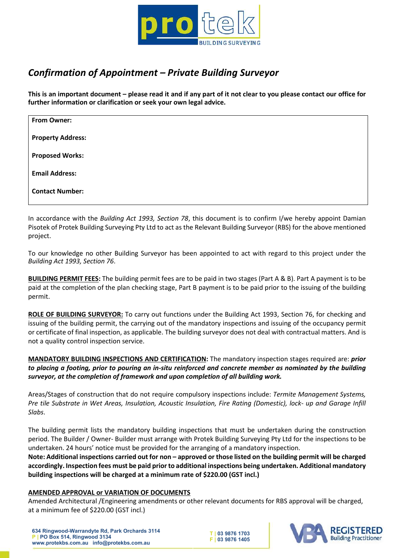

## Confirmation of Appointment – Private Building Surveyor

This is an important document – please read it and if any part of it not clear to you please contact our office for further information or clarification or seek your own legal advice.

| From Owner:              |  |
|--------------------------|--|
| <b>Property Address:</b> |  |
| <b>Proposed Works:</b>   |  |
| <b>Email Address:</b>    |  |
| <b>Contact Number:</b>   |  |

In accordance with the Building Act 1993, Section 78, this document is to confirm I/we hereby appoint Damian Pisotek of Protek Building Surveying Pty Ltd to act as the Relevant Building Surveyor (RBS) for the above mentioned project.

To our knowledge no other Building Surveyor has been appointed to act with regard to this project under the Building Act 1993, Section 76.

BUILDING PERMIT FEES: The building permit fees are to be paid in two stages (Part A & B). Part A payment is to be paid at the completion of the plan checking stage, Part B payment is to be paid prior to the issuing of the building permit.

ROLE OF BUILDING SURVEYOR: To carry out functions under the Building Act 1993, Section 76, for checking and issuing of the building permit, the carrying out of the mandatory inspections and issuing of the occupancy permit or certificate of final inspection, as applicable. The building surveyor does not deal with contractual matters. And is not a quality control inspection service.

MANDATORY BUILDING INSPECTIONS AND CERTIFICATION: The mandatory inspection stages required are: prior to placing a footing, prior to pouring an in-situ reinforced and concrete member as nominated by the building surveyor, at the completion of framework and upon completion of all building work.

Areas/Stages of construction that do not require compulsory inspections include: Termite Management Systems, Pre tile Substrate in Wet Areas, Insulation, Acoustic Insulation, Fire Rating (Domestic), lock- up and Garage Infill Slabs.

The building permit lists the mandatory building inspections that must be undertaken during the construction period. The Builder / Owner- Builder must arrange with Protek Building Surveying Pty Ltd for the inspections to be undertaken. 24 hours' notice must be provided for the arranging of a mandatory inspection.

Note: Additional inspections carried out for non – approved or those listed on the building permit will be charged accordingly. Inspection fees must be paid prior to additional inspections being undertaken. Additional mandatory building inspections will be charged at a minimum rate of \$220.00 (GST incl.)

## AMENDED APPROVAL or VARIATION OF DOCUMENTS

Amended Architectural /Engineering amendments or other relevant documents for RBS approval will be charged, at a minimum fee of \$220.00 (GST incl.)